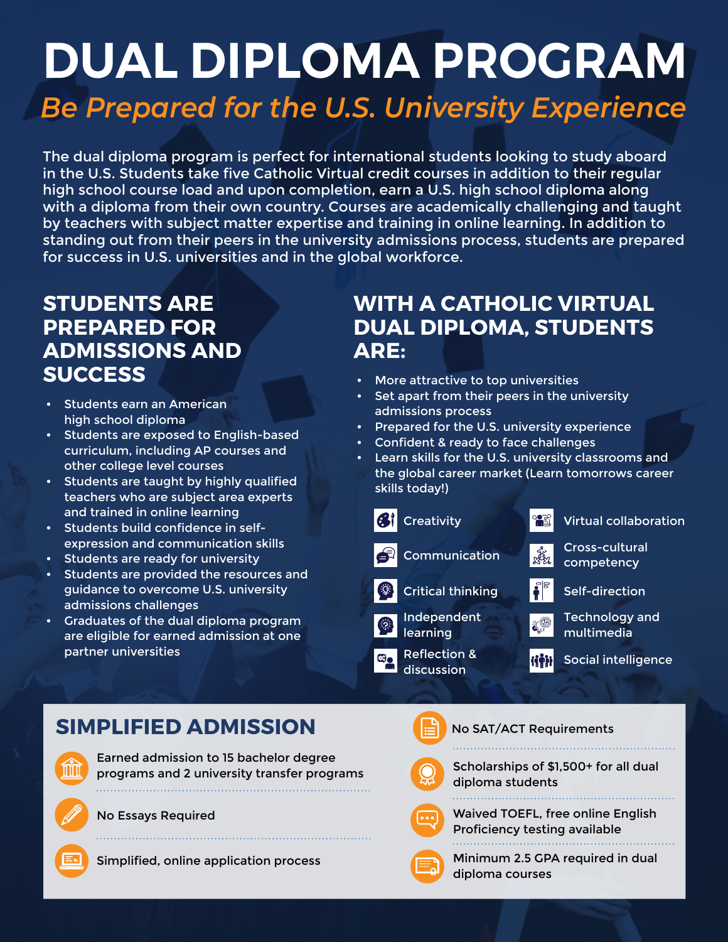# **DUAL DIPLOMA PROGRAM** *Be Prepared for the U.S. University Experience*

The dual diploma program is perfect for international students looking to study aboard in the U.S. Students take five Catholic Virtual credit courses in addition to their regular high school course load and upon completion, earn a U.S. high school diploma along with a diploma from their own country. Courses are academically challenging and taught by teachers with subject matter expertise and training in online learning. In addition to standing out from their peers in the university admissions process, students are prepared for success in U.S. universities and in the global workforce.

### **STUDENTS ARE PREPARED FOR ADMISSIONS AND SUCCESS**

- Students earn an American high school diploma
- Students are exposed to English-based curriculum, including AP courses and other college level courses
- Students are taught by highly qualified teachers who are subject area experts and trained in online learning
- Students build confidence in selfexpression and communication skills
- Students are ready for university
- Students are provided the resources and guidance to overcome U.S. university admissions challenges
- Graduates of the dual diploma program are eligible for earned admission at one partner universities

### **WITH A CATHOLIC VIRTUAL DUAL DIPLOMA, STUDENTS ARE:**

- More attractive to top universities
- Set apart from their peers in the university admissions process
- Prepared for the U.S. university experience
- Confident & ready to face challenges
- Learn skills for the U.S. university classrooms and the global career market (Learn tomorrows career skills today!)



### **SIMPLIFIED ADMISSION**

Earned admission to 15 bachelor degree programs and 2 university transfer programs 

No Essays Required





No SAT/ACT Requirements

Scholarships of \$1,500+ for all dual diploma students



Waived TOEFL, free online English Proficiency testing available



Minimum 2.5 GPA required in dual diploma courses